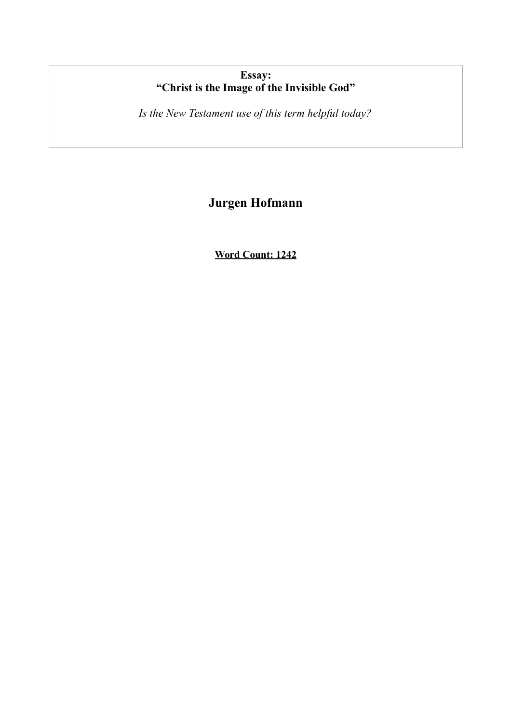# **Essay: "Christ is the Image of the Invisible God"**

*Is the New Testament use of this term helpful today?*

# **Jurgen Hofmann**

**Word Count: 1242**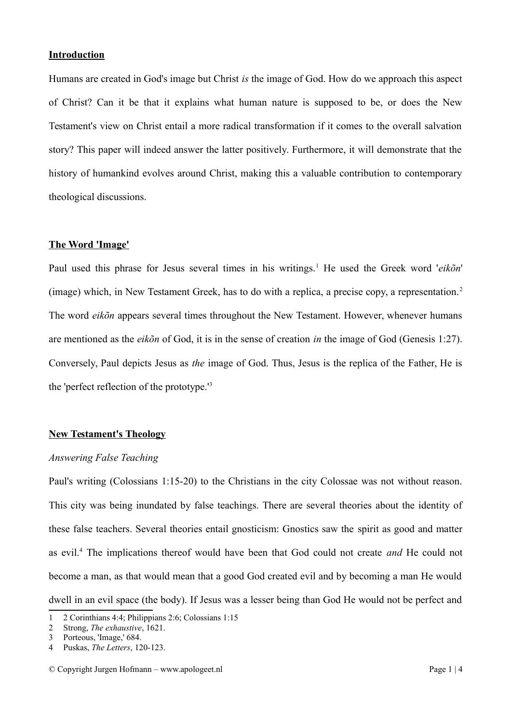#### **Introduction**

Humans are created in God's image but Christ *is* the image of God. How do we approach this aspect of Christ? Can it be that it explains what human nature is supposed to be, or does the New Testament's view on Christ entail a more radical transformation if it comes to the overall salvation story? This paper will indeed answer the latter positively. Furthermore, it will demonstrate that the history of humankind evolves around Christ, making this a valuable contribution to contemporary theological discussions.

#### **The Word 'Image'**

Paul used this phrase for Jesus several times in his writings.<sup>[1](#page-1-0)</sup> He used the Greek word '*eikõn*' (image) which, in New Testament Greek, has to do with a replica, a precise copy, a representation.[2](#page-1-1) The word *eikõn* appears several times throughout the New Testament. However, whenever humans are mentioned as the *eikõn* of God, it is in the sense of creation *in* the image of God (Genesis 1:27). Conversely, Paul depicts Jesus as *the* image of God. Thus, Jesus is the replica of the Father, He is the 'perfect reflection of the prototype.'[3](#page-1-2)

#### **New Testament's Theology**

#### *Answering False Teaching*

Paul's writing (Colossians 1:15-20) to the Christians in the city Colossae was not without reason. This city was being inundated by false teachings. There are several theories about the identity of these false teachers. Several theories entail gnosticism: Gnostics saw the spirit as good and matter as evil.[4](#page-1-3) The implications thereof would have been that God could not create *and* He could not become a man, as that would mean that a good God created evil and by becoming a man He would dwell in an evil space (the body). If Jesus was a lesser being than God He would not be perfect and

<span id="page-1-0"></span><sup>1</sup> 2 Corinthians 4:4; Philippians 2:6; Colossians 1:15

<span id="page-1-1"></span><sup>2</sup> Strong, *The exhaustive*, 1621.

<span id="page-1-2"></span><sup>3</sup> Porteous, 'Image,' 684.

<span id="page-1-3"></span><sup>4</sup> Puskas, *The Letters*, 120-123.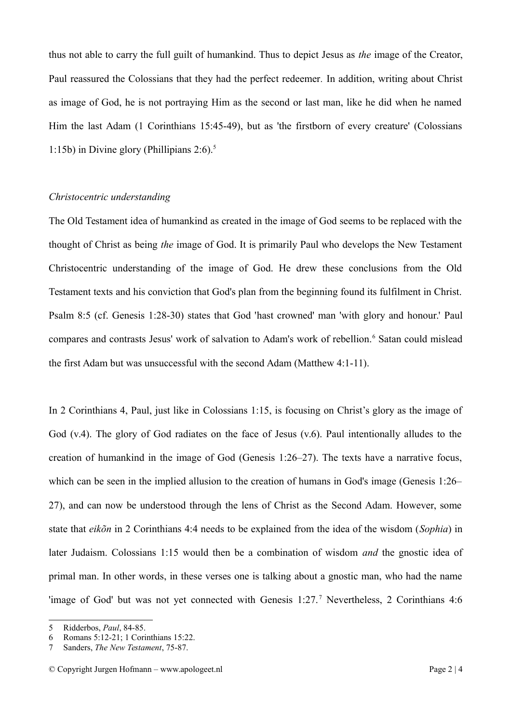thus not able to carry the full guilt of humankind. Thus to depict Jesus as *the* image of the Creator, Paul reassured the Colossians that they had the perfect redeemer*.* In addition, writing about Christ as image of God, he is not portraying Him as the second or last man, like he did when he named Him the last Adam (1 Corinthians 15:45-49), but as 'the firstborn of every creature' (Colossians 1:1[5](#page-2-0)b) in Divine glory (Phillipians  $2:6$ ).<sup>5</sup>

# *Christocentric understanding*

The Old Testament idea of humankind as created in the image of God seems to be replaced with the thought of Christ as being *the* image of God. It is primarily Paul who develops the New Testament Christocentric understanding of the image of God. He drew these conclusions from the Old Testament texts and his conviction that God's plan from the beginning found its fulfilment in Christ. Psalm 8:5 (cf. Genesis 1:28-30) states that God 'hast crowned' man 'with glory and honour.' Paul compares and contrasts Jesus' work of salvation to Adam's work of rebellion.<sup>[6](#page-2-1)</sup> Satan could mislead the first Adam but was unsuccessful with the second Adam (Matthew 4:1-11).

In 2 Corinthians 4, Paul, just like in Colossians 1:15, is focusing on Christ's glory as the image of God (v.4). The glory of God radiates on the face of Jesus (v.6). Paul intentionally alludes to the creation of humankind in the image of God (Genesis 1:26–27). The texts have a narrative focus, which can be seen in the implied allusion to the creation of humans in God's image (Genesis 1:26– 27), and can now be understood through the lens of Christ as the Second Adam. However, some state that *eikõn* in 2 Corinthians 4:4 needs to be explained from the idea of the wisdom (*Sophia*) in later Judaism. Colossians 1:15 would then be a combination of wisdom *and* the gnostic idea of primal man. In other words, in these verses one is talking about a gnostic man, who had the name 'image of God' but was not yet connected with Genesis 1:2[7](#page-2-2).<sup>7</sup> Nevertheless, 2 Corinthians 4:6

<span id="page-2-0"></span><sup>5</sup> Ridderbos, *Paul*, 84-85.

<span id="page-2-1"></span><sup>6</sup> Romans 5:12-21; 1 Corinthians 15:22.

<span id="page-2-2"></span><sup>7</sup> Sanders, *The New Testament*, 75-87.

<sup>©</sup> Copyright Jurgen Hofmann – www.apologeet.nl Page 2 | 4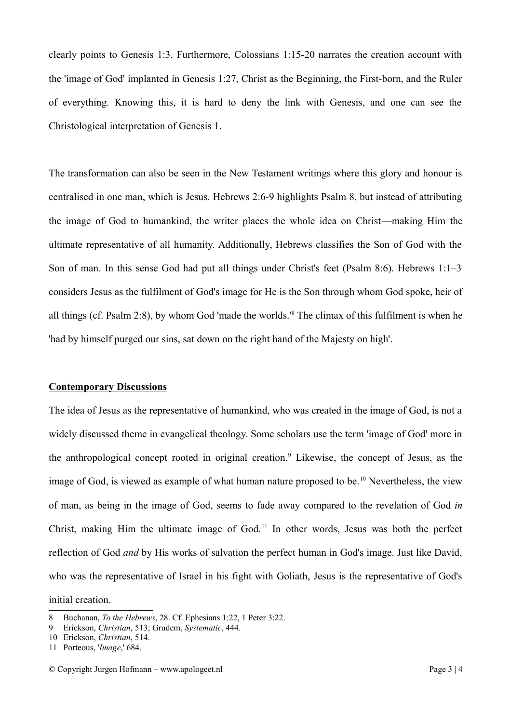clearly points to Genesis 1:3. Furthermore, Colossians 1:15-20 narrates the creation account with the 'image of God' implanted in Genesis 1:27, Christ as the Beginning, the First-born, and the Ruler of everything. Knowing this, it is hard to deny the link with Genesis, and one can see the Christological interpretation of Genesis 1.

The transformation can also be seen in the New Testament writings where this glory and honour is centralised in one man, which is Jesus. Hebrews 2:6-9 highlights Psalm 8, but instead of attributing the image of God to humankind, the writer places the whole idea on Christ—making Him the ultimate representative of all humanity. Additionally, Hebrews classifies the Son of God with the Son of man. In this sense God had put all things under Christ's feet (Psalm 8:6). Hebrews 1:1–3 considers Jesus as the fulfilment of God's image for He is the Son through whom God spoke, heir of all things (cf. Psalm 2:8), by whom God 'made the worlds.'[8](#page-3-0) The climax of this fulfilment is when he 'had by himself purged our sins, sat down on the right hand of the Majesty on high'.

### **Contemporary Discussions**

The idea of Jesus as the representative of humankind, who was created in the image of God, is not a widely discussed theme in evangelical theology. Some scholars use the term 'image of God' more in the anthropological concept rooted in original creation.<sup>[9](#page-3-1)</sup> Likewise, the concept of Jesus, as the image of God, is viewed as example of what human nature proposed to be.<sup>[10](#page-3-2)</sup> Nevertheless, the view of man, as being in the image of God, seems to fade away compared to the revelation of God *in* Christ, making Him the ultimate image of God.<sup>[11](#page-3-3)</sup> In other words, Jesus was both the perfect reflection of God *and* by His works of salvation the perfect human in God's image. Just like David, who was the representative of Israel in his fight with Goliath, Jesus is the representative of God's initial creation.

<span id="page-3-0"></span><sup>8</sup> Buchanan, *To the Hebrews*, 28. Cf. Ephesians 1:22, 1 Peter 3:22.

<span id="page-3-1"></span><sup>9</sup> Erickson, *Christian*, 513; Grudem, *Systematic*, 444.

<span id="page-3-2"></span><sup>10</sup> Erickson, *Christian*, 514.

<span id="page-3-3"></span><sup>11</sup> Porteous, '*Image*,' 684.

<sup>©</sup> Copyright Jurgen Hofmann – www.apologeet.nl Page 3 | 4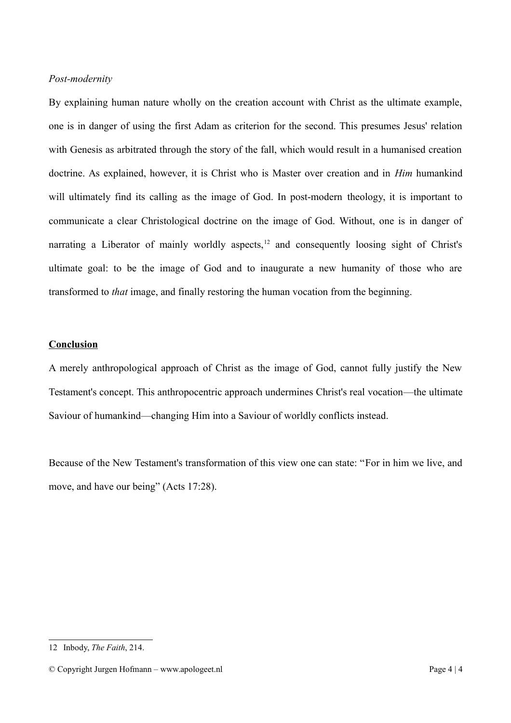# *Post-modernity*

By explaining human nature wholly on the creation account with Christ as the ultimate example, one is in danger of using the first Adam as criterion for the second. This presumes Jesus' relation with Genesis as arbitrated through the story of the fall, which would result in a humanised creation doctrine. As explained, however, it is Christ who is Master over creation and in *Him* humankind will ultimately find its calling as the image of God. In post-modern theology, it is important to communicate a clear Christological doctrine on the image of God. Without, one is in danger of narrating a Liberator of mainly worldly aspects, $12$  and consequently loosing sight of Christ's ultimate goal: to be the image of God and to inaugurate a new humanity of those who are transformed to *that* image, and finally restoring the human vocation from the beginning.

# **Conclusion**

A merely anthropological approach of Christ as the image of God, cannot fully justify the New Testament's concept. This anthropocentric approach undermines Christ's real vocation—the ultimate Saviour of humankind—changing Him into a Saviour of worldly conflicts instead.

Because of the New Testament's transformation of this view one can state: "For in him we live, and move, and have our being" (Acts 17:28).

<span id="page-4-0"></span><sup>12</sup> Inbody, *The Faith*, 214.

<sup>©</sup> Copyright Jurgen Hofmann – www.apologeet.nl Page 4 | 4